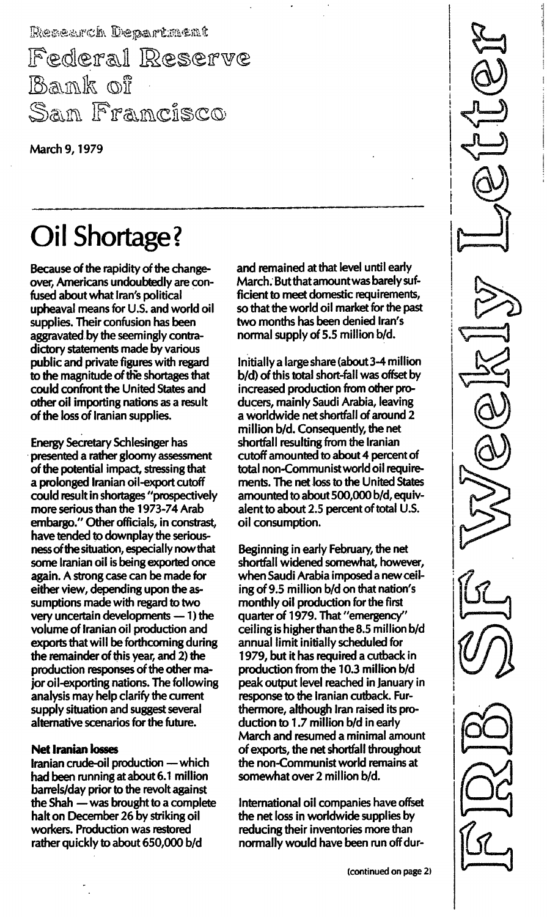Research Department Federal Reserve Bank of San Francisco

March 9, 1979

# Oil Shortage?

Because of the rapidity of the changeover, Americans undoubtedly are confused about what Iran's political upheaval means for U.S. and world oil supplies. Their confusion has been aggravated by the seemingly contradictory statements made by various public and private figures with regard to the magnitude of the shortages that could confront the United States and other oil importing nations as a result of the loss of Iranian supplies.

Energy Secretary Schlesinger has presented a rather gloomy assessment of the potential impact, stressing that a prolonged Iranian oil-export cutoff could result in shortages "prospectively more serious than the 1 973-74 Arab embargo." Other officials, in constrast, have tended to downplay the seriousness of the situation, especially now that some Iranian oil is being exported once again. A strong case can be made for either view, depending upon the assumptions made with regard to two very uncertain developments  $-1$ ) the volume of Iranian oil production and exports that will be forthcoming during the remainder of this year, and 2) the production responses of the other major oil-exporting nations. The following analysis may help clarify the current supply situation and suggest several alternative scenarios for the future.

#### Net Iranian losses

Iranian crude-oil production - which had been running at about 6.1 million barrels/day prior to the revolt against the Shah - was brought to a complete halt on December 26 by striking oil workers. Production was restored rather quickly to about 650,000 b/d

and remained at that level until early March. But that amount was barely sufficient to meet domestic requirements, so that the world oil market for the past two months has been denied Iran's normal supply of 5.5 million b/d.

Initially a large share (about 3-4 million b/d) of this total short-fall was offset by increased production from other producers, mainly Saudi Arabia, leaving a worldwide net shortfall of around 2 million b/d. Consequently, the net shortfall resulting from the Iranian cutoff amounted to about 4 percent of total non-Communist world oil requirements. The net loss to the United States amounted to about 500,000 b/d, equivalent to about 2.5 percent of total U.S. oil consumption.

Beginning in early February, the net shortfall widened somewhat, however, when Saudi Arabia imposed a new ceiling of 9.5 million b/d on that nation's monthly oil production for the first quarter of 1979. That "emergency" ceiling is higher than the 8.5 million  $b/d$ annual limit initially scheduled for 1 979, but it has required a cutback in production from the 10.3 million b/d peak output level reached in January in response to the Iranian cutback. Furthermore, although Iran raised its production to 1.7 million  $b/d$  in early March and resumed a minimal amount of exports, the net shortfall throughout the non-Communist world remains at somewhat over 2 million b/d.

International oil companies have offset the net loss in worldwide supplies by reducing their inventories more than normally would have been run off dur-

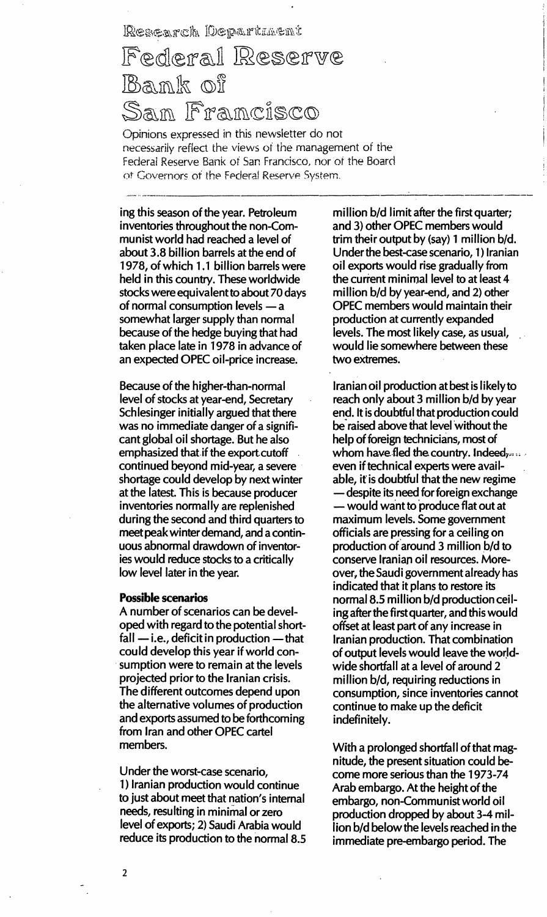### Research Department

## Federal Reserve Bamk of San Francisco

Opinions expressed in this newsletter do not necessarily reflect the views of the management of the Federal Reserve Bank of San Francisco, nor of the Board of Governors of the Ferleral Reserve System.

ing this season of the year. Petroleum inventories throughout the non-Communist world had reached a level of about 3.8 billion barrels at the end of 1 978, of which 1.1 billion barrels were held in this country. These worldwide stocks were equivalent to about 70 days of normal consumption levels - a somewhat larger supply than normal because of the hedge buying that had taken place late in 1978 in advance of an expected OPEC oil-price increase.

Because of the higher-than-normal level of stocks at year-end, Secretary Schlesinger initially argued that there was no immediate danger of a significant global oil shortage. But he also emphasized that if the export cutoff continued beyond mid-year, a severe shortage could develop by next winter at the latest. This is because producer inventories normally are replenished during the second and third quarters to meet peak winter demand, and a continuous abnormal drawdown of inventories would reduce stocks to a critically low level later in the year.

#### Possible scenarios

A number of scenarios can be developed with regard to the potential short $fall$  - i.e., deficit in production - that could develop this year if world consumption were to remain at the levels projected prior to the Iranian crisis. The different outcomes depend upon the alternative volumes of production and exports assumed to be forthcoming from Iran and other OPEC cartel members.

Under the worst-case scenario, 1) Iranian production would continue to just about meet that nation's internal needs, resulting in minirnal or zero level of exports; 2) Saudi Arabia would reduce its production to the normal 8.5 million b/d limit after the first quarter; and 3) other OPEC members would trim their output by  $(sav)$  1 million  $b/d$ . Under the best-case scenario, 1) Iranian oil exports would rise gradually from the current minimal level to at least 4 million b/d by year-end, and 2) other OPEC members would maintain their production at currently expanded levels. The most likely case, as usual, would lie somewhere between these two extremes.

Iranian oil production at best is likely to reach only about 3 million b/d by year end. It is doubtful that production could be'raised above that level without the help of foreign technicians, most of whom have fled the country. Indeed, even if technical experts were available, it is doubtful that the new regime - despite its need for foreign exchange - would want to produce flat out at maximum levels. Some government officials are pressing for a ceiling on production of around 3 million b/d to conserve Iranian oil resources. Moreover, the Saudi government already has indicated that it plans to restore its normal 8.5 million b/d production ceiling after the first quarter, and this would offset at least part of any increase in Iranian production. That combination of output levels would leave the worldwide shortfall at a level of around 2 million b/d, requiring reductions in consumption, since inventories cannot continue to make up the deficit indefinitely.

With a prolonged shortfall of that magnitude, the present situation could become more serious than the 1973-74 Arab embargo. At the height of the embargo, non-Communist world oil production dropped by about 3-4 million b/d below the levels reached in the immediate pre-embargo period. The

2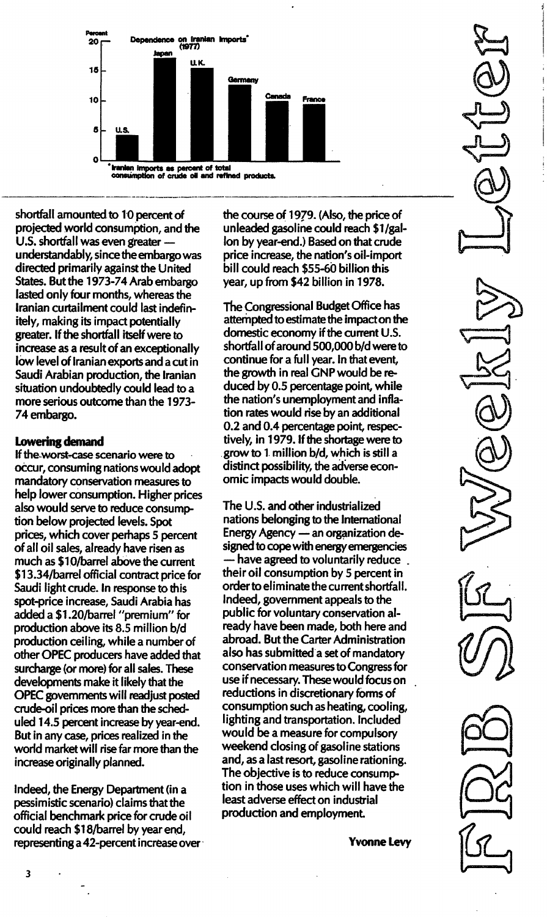

shortfall amounted to 10 percent of projected world consumption, and the U.S. shortfall was even greater understandably, since the embargo was directed primarily against the United States. But the 1973-74 Arab embargo lasted only four months, whereas the Iranian curtailment could last indefinitely, making its impact potentially greater. If the shortfall itself were to increase as a result of an exceptionally low level of Iranian exports and a cut in Saudi Arabian production, the Iranian situation undoubtedly could lead to a more serious outcome than the 1973-74 embargo.

#### lowering demand

If the worst-case scenario were to occur, consuming nations would adopt mandatory conservation measures to help lower consumption. Higher prices also would serve to reduce consumption below projected levels. Spot prices, which cover perhaps 5 percent of all oil sales, already have risen as much as \$1 O/barrel above the current \$1 3.34/barrel official contract price for Saudi light crude. In response to this spot-price increase, Saudi Arabia has added a \$1.20/barrel "premium" for production above its 8.5 million bid production ceiling, while a number of other OPEC producers have added that surcharge (or more) for all sales. These developments make it likely that the OPEC governments will readjust posted crude-oil prices more than the scheduled 1 4.5 percent increase by year-end. But in any case, prices realized in the world market will rise far more than the increase originally planned.

Indeed, the Energy Department (in a pessimistic scenario) claims that the official benchmark price for crude oil could reach \$1 8/barrel by year end, representing a 42-percent increase over the course of 1979. (Also, the price of unleaded gasoline could reach \$l/gal-Ion by year-end.) Based on that crude price increase, the nation's oil-import bill could reach \$55-60 billion this year, up from \$42 billion in 1978.

The Congressional Budget Office has attempted to estimate the impact on the domestic economy if the current U.S. shortfall of around 500,000 b/d were to continue for a full year. In that event, the growth in real GNP would be reduced by 0.5 percentage point, while the nation's unemployment and inflation rates would rise by an additional 0.2 and 0.4 percentage point, respectively, in 1979. If the shortage were to grow to 1 million b/d, which is still a distinct possibility, the adverse economic impacts would double.

The U.S. and other industrialized nations belonging to the International Energy Agency - an organization designed to cope with energy emergencies have agreed to voluntarily reduce. their oil consumption by 5 percent in order to eliminate the current shortfall. Indeed, government appeals to the public for voluntary conservation already have been made, both here and abroad. But the Carter Administration also has submitted a set of mandatory conservation measures to Congress for use if necessary. These wou Id focus on reductions in discretionary forms of consumption such as heating, cooling, lighting and transportation. Included would be a measure for compulsory weekend closing of gasoline stations and, as a last resort, gasoline rationing. The objective is to reduce consumption in those uses which will have the least adverse effect on industrial production and employment.

Yvonne levy